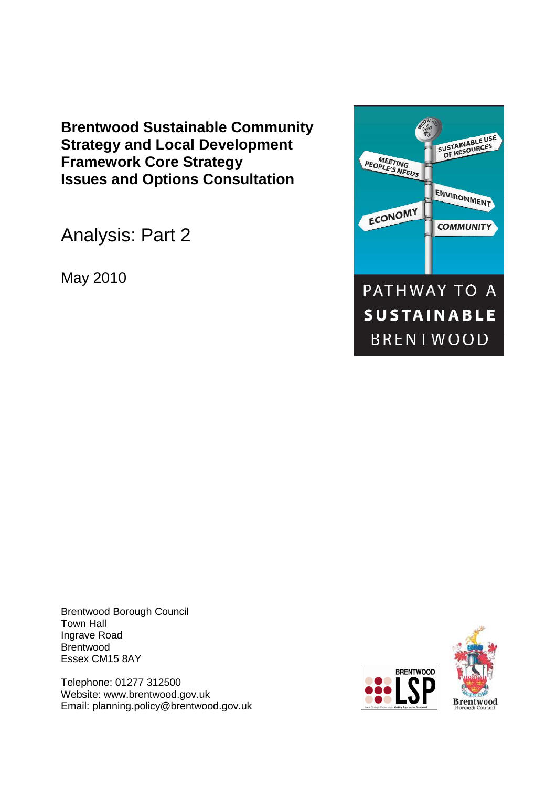**Brentwood Sustainable Community Strategy and Local Development Framework Core Strategy Issues and Options Consultation** 

Analysis: Part 2

May 2010



Brentwood Borough Council Town Hall Ingrave Road Brentwood Essex CM15 8AY

Telephone: 01277 312500 Website: www.brentwood.gov.uk Email: planning.policy@brentwood.gov.uk



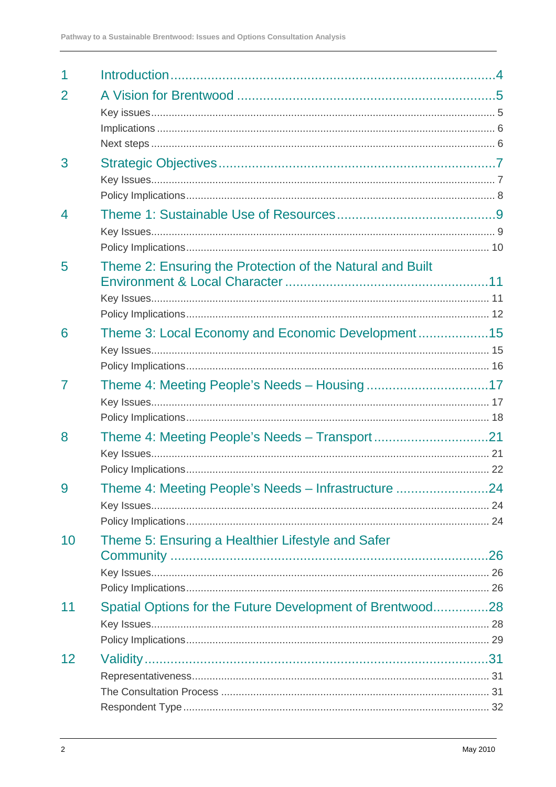| $\overline{2}$ |                                                           |  |
|----------------|-----------------------------------------------------------|--|
|                |                                                           |  |
|                |                                                           |  |
|                |                                                           |  |
| 3              |                                                           |  |
|                |                                                           |  |
|                |                                                           |  |
| $\overline{4}$ |                                                           |  |
|                |                                                           |  |
|                |                                                           |  |
| 5              | Theme 2: Ensuring the Protection of the Natural and Built |  |
|                |                                                           |  |
|                |                                                           |  |
|                |                                                           |  |
| 6              | Theme 3: Local Economy and Economic Development15         |  |
|                |                                                           |  |
|                |                                                           |  |
| 7              |                                                           |  |
|                |                                                           |  |
|                |                                                           |  |
| 8              | Theme 4: Meeting People's Needs - Transport21             |  |
|                |                                                           |  |
|                |                                                           |  |
| 9              | Theme 4: Meeting People's Needs - Infrastructure 24       |  |
|                |                                                           |  |
|                |                                                           |  |
| 10             | Theme 5: Ensuring a Healthier Lifestyle and Safer         |  |
|                |                                                           |  |
|                |                                                           |  |
|                |                                                           |  |
| 11             | Spatial Options for the Future Development of Brentwood28 |  |
|                |                                                           |  |
|                |                                                           |  |
| 12             |                                                           |  |
|                |                                                           |  |
|                |                                                           |  |
|                |                                                           |  |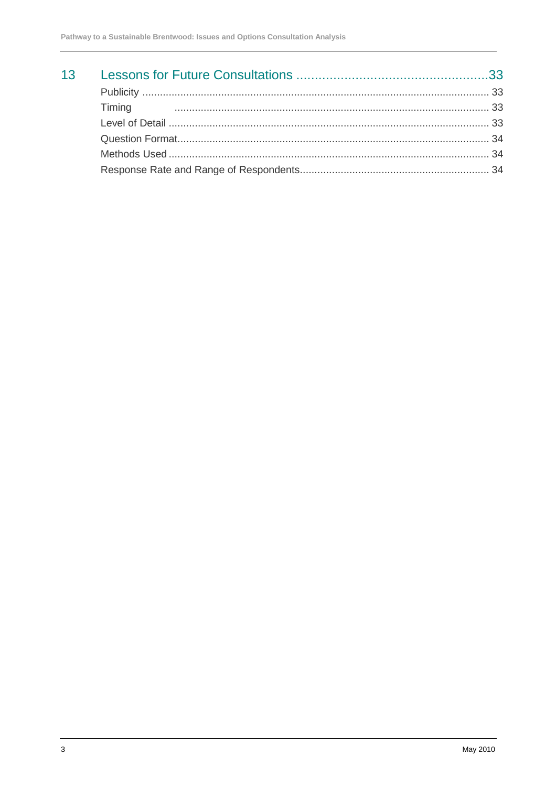| 13 <sup>7</sup> |           |  |
|-----------------|-----------|--|
|                 |           |  |
|                 | Timing 23 |  |
|                 |           |  |
|                 |           |  |
|                 |           |  |
|                 |           |  |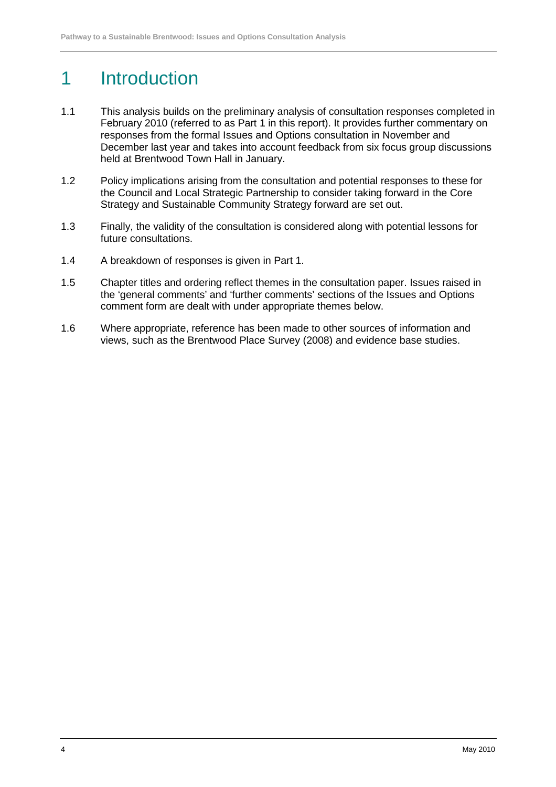# 1 Introduction

- 1.1 This analysis builds on the preliminary analysis of consultation responses completed in February 2010 (referred to as Part 1 in this report). It provides further commentary on responses from the formal Issues and Options consultation in November and December last year and takes into account feedback from six focus group discussions held at Brentwood Town Hall in January.
- 1.2 Policy implications arising from the consultation and potential responses to these for the Council and Local Strategic Partnership to consider taking forward in the Core Strategy and Sustainable Community Strategy forward are set out.
- 1.3 Finally, the validity of the consultation is considered along with potential lessons for future consultations.
- 1.4 A breakdown of responses is given in Part 1.
- 1.5 Chapter titles and ordering reflect themes in the consultation paper. Issues raised in the 'general comments' and 'further comments' sections of the Issues and Options comment form are dealt with under appropriate themes below.
- 1.6 Where appropriate, reference has been made to other sources of information and views, such as the Brentwood Place Survey (2008) and evidence base studies.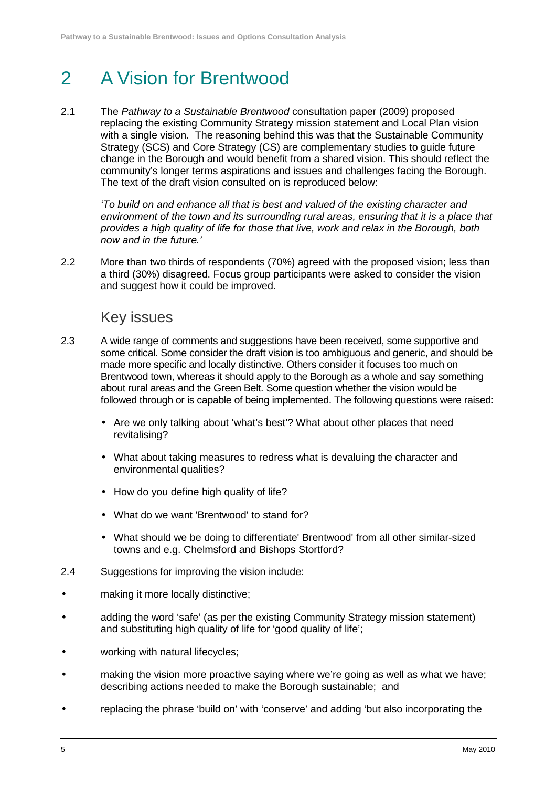# 2 A Vision for Brentwood

2.1 The Pathway to a Sustainable Brentwood consultation paper (2009) proposed replacing the existing Community Strategy mission statement and Local Plan vision with a single vision. The reasoning behind this was that the Sustainable Community Strategy (SCS) and Core Strategy (CS) are complementary studies to guide future change in the Borough and would benefit from a shared vision. This should reflect the community's longer terms aspirations and issues and challenges facing the Borough. The text of the draft vision consulted on is reproduced below:

'To build on and enhance all that is best and valued of the existing character and environment of the town and its surrounding rural areas, ensuring that it is a place that provides a high quality of life for those that live, work and relax in the Borough, both now and in the future.'

2.2 More than two thirds of respondents (70%) agreed with the proposed vision; less than a third (30%) disagreed. Focus group participants were asked to consider the vision and suggest how it could be improved.

### Key issues

- 2.3 A wide range of comments and suggestions have been received, some supportive and some critical. Some consider the draft vision is too ambiguous and generic, and should be made more specific and locally distinctive. Others consider it focuses too much on Brentwood town, whereas it should apply to the Borough as a whole and say something about rural areas and the Green Belt. Some question whether the vision would be followed through or is capable of being implemented. The following questions were raised:
	- Are we only talking about 'what's best'? What about other places that need revitalising?
	- What about taking measures to redress what is devaluing the character and environmental qualities?
	- How do you define high quality of life?
	- What do we want 'Brentwood' to stand for?
	- What should we be doing to differentiate' Brentwood' from all other similar-sized towns and e.g. Chelmsford and Bishops Stortford?
- 2.4 Suggestions for improving the vision include:
- making it more locally distinctive;
- adding the word 'safe' (as per the existing Community Strategy mission statement) and substituting high quality of life for 'good quality of life';
- working with natural lifecycles:
- making the vision more proactive saying where we're going as well as what we have; describing actions needed to make the Borough sustainable; and
- replacing the phrase 'build on' with 'conserve' and adding 'but also incorporating the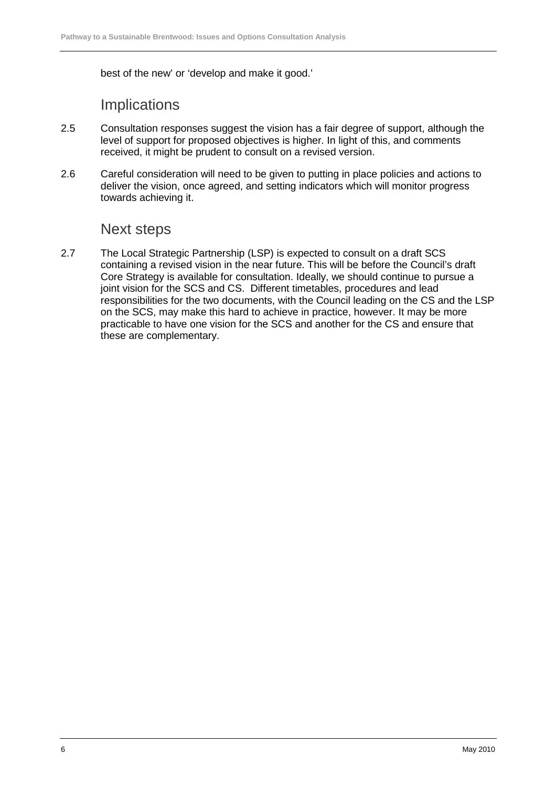best of the new' or 'develop and make it good.'

## **Implications**

- 2.5 Consultation responses suggest the vision has a fair degree of support, although the level of support for proposed objectives is higher. In light of this, and comments received, it might be prudent to consult on a revised version.
- 2.6 Careful consideration will need to be given to putting in place policies and actions to deliver the vision, once agreed, and setting indicators which will monitor progress towards achieving it.

### Next steps

2.7 The Local Strategic Partnership (LSP) is expected to consult on a draft SCS containing a revised vision in the near future. This will be before the Council's draft Core Strategy is available for consultation. Ideally, we should continue to pursue a joint vision for the SCS and CS. Different timetables, procedures and lead responsibilities for the two documents, with the Council leading on the CS and the LSP on the SCS, may make this hard to achieve in practice, however. It may be more practicable to have one vision for the SCS and another for the CS and ensure that these are complementary.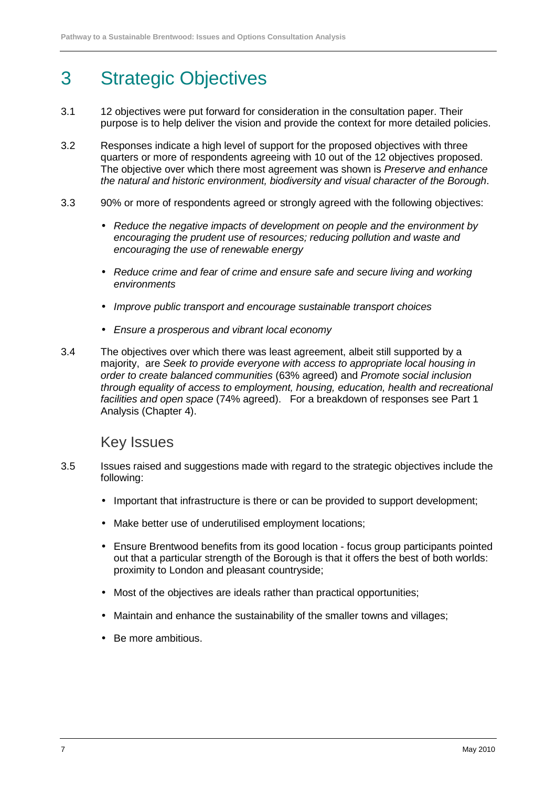# 3 Strategic Objectives

- 3.1 12 objectives were put forward for consideration in the consultation paper. Their purpose is to help deliver the vision and provide the context for more detailed policies.
- 3.2 Responses indicate a high level of support for the proposed objectives with three quarters or more of respondents agreeing with 10 out of the 12 objectives proposed. The objective over which there most agreement was shown is Preserve and enhance the natural and historic environment, biodiversity and visual character of the Borough.
- 3.3 90% or more of respondents agreed or strongly agreed with the following objectives:
	- Reduce the negative impacts of development on people and the environment by encouraging the prudent use of resources; reducing pollution and waste and encouraging the use of renewable energy
	- Reduce crime and fear of crime and ensure safe and secure living and working environments
	- Improve public transport and encourage sustainable transport choices
	- Ensure a prosperous and vibrant local economy
- 3.4 The objectives over which there was least agreement, albeit still supported by a majority, are Seek to provide everyone with access to appropriate local housing in order to create balanced communities (63% agreed) and Promote social inclusion through equality of access to employment, housing, education, health and recreational facilities and open space (74% agreed). For a breakdown of responses see Part 1 Analysis (Chapter 4).

### Key Issues

- 3.5 Issues raised and suggestions made with regard to the strategic objectives include the following:
	- Important that infrastructure is there or can be provided to support development;
	- Make better use of underutilised employment locations;
	- Ensure Brentwood benefits from its good location focus group participants pointed out that a particular strength of the Borough is that it offers the best of both worlds: proximity to London and pleasant countryside;
	- Most of the objectives are ideals rather than practical opportunities;
	- Maintain and enhance the sustainability of the smaller towns and villages;
	- Be more ambitious.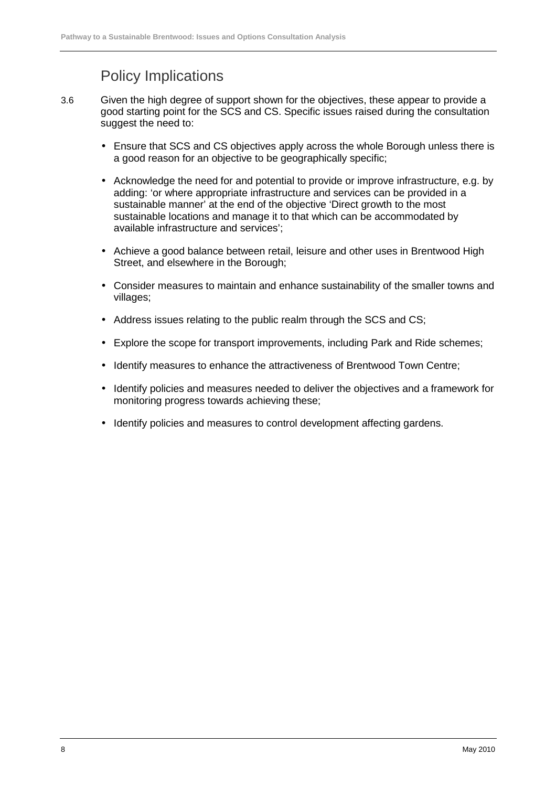## Policy Implications

- 3.6 Given the high degree of support shown for the objectives, these appear to provide a good starting point for the SCS and CS. Specific issues raised during the consultation suggest the need to:
	- Ensure that SCS and CS objectives apply across the whole Borough unless there is a good reason for an objective to be geographically specific;
	- Acknowledge the need for and potential to provide or improve infrastructure, e.g. by adding: 'or where appropriate infrastructure and services can be provided in a sustainable manner' at the end of the objective 'Direct growth to the most sustainable locations and manage it to that which can be accommodated by available infrastructure and services';
	- Achieve a good balance between retail, leisure and other uses in Brentwood High Street, and elsewhere in the Borough;
	- Consider measures to maintain and enhance sustainability of the smaller towns and villages;
	- Address issues relating to the public realm through the SCS and CS;
	- Explore the scope for transport improvements, including Park and Ride schemes;
	- Identify measures to enhance the attractiveness of Brentwood Town Centre;
	- Identify policies and measures needed to deliver the objectives and a framework for monitoring progress towards achieving these;
	- Identify policies and measures to control development affecting gardens.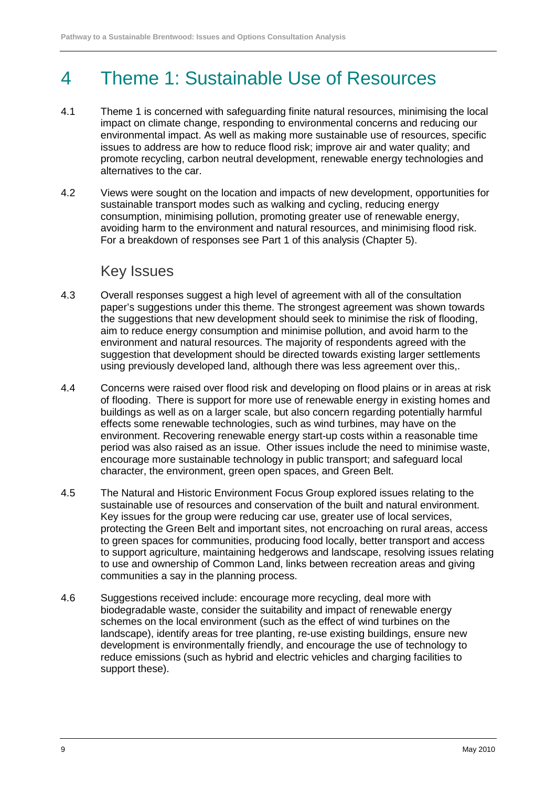# 4 Theme 1: Sustainable Use of Resources

- 4.1 Theme 1 is concerned with safeguarding finite natural resources, minimising the local impact on climate change, responding to environmental concerns and reducing our environmental impact. As well as making more sustainable use of resources, specific issues to address are how to reduce flood risk; improve air and water quality; and promote recycling, carbon neutral development, renewable energy technologies and alternatives to the car.
- 4.2 Views were sought on the location and impacts of new development, opportunities for sustainable transport modes such as walking and cycling, reducing energy consumption, minimising pollution, promoting greater use of renewable energy, avoiding harm to the environment and natural resources, and minimising flood risk. For a breakdown of responses see Part 1 of this analysis (Chapter 5).

### Key Issues

- 4.3 Overall responses suggest a high level of agreement with all of the consultation paper's suggestions under this theme. The strongest agreement was shown towards the suggestions that new development should seek to minimise the risk of flooding, aim to reduce energy consumption and minimise pollution, and avoid harm to the environment and natural resources. The majority of respondents agreed with the suggestion that development should be directed towards existing larger settlements using previously developed land, although there was less agreement over this,.
- 4.4 Concerns were raised over flood risk and developing on flood plains or in areas at risk of flooding. There is support for more use of renewable energy in existing homes and buildings as well as on a larger scale, but also concern regarding potentially harmful effects some renewable technologies, such as wind turbines, may have on the environment. Recovering renewable energy start-up costs within a reasonable time period was also raised as an issue. Other issues include the need to minimise waste, encourage more sustainable technology in public transport; and safeguard local character, the environment, green open spaces, and Green Belt.
- 4.5 The Natural and Historic Environment Focus Group explored issues relating to the sustainable use of resources and conservation of the built and natural environment. Key issues for the group were reducing car use, greater use of local services, protecting the Green Belt and important sites, not encroaching on rural areas, access to green spaces for communities, producing food locally, better transport and access to support agriculture, maintaining hedgerows and landscape, resolving issues relating to use and ownership of Common Land, links between recreation areas and giving communities a say in the planning process.
- 4.6 Suggestions received include: encourage more recycling, deal more with biodegradable waste, consider the suitability and impact of renewable energy schemes on the local environment (such as the effect of wind turbines on the landscape), identify areas for tree planting, re-use existing buildings, ensure new development is environmentally friendly, and encourage the use of technology to reduce emissions (such as hybrid and electric vehicles and charging facilities to support these).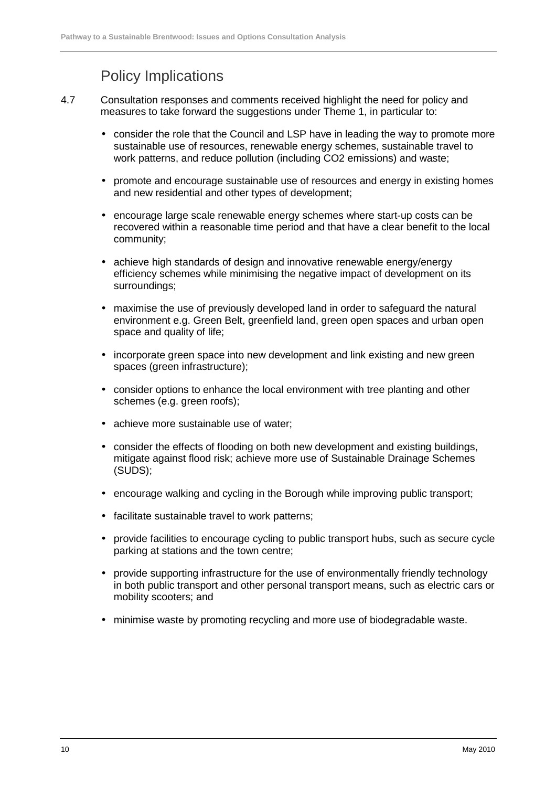## Policy Implications

- 4.7 Consultation responses and comments received highlight the need for policy and measures to take forward the suggestions under Theme 1, in particular to:
	- consider the role that the Council and LSP have in leading the way to promote more sustainable use of resources, renewable energy schemes, sustainable travel to work patterns, and reduce pollution (including CO2 emissions) and waste;
	- promote and encourage sustainable use of resources and energy in existing homes and new residential and other types of development;
	- encourage large scale renewable energy schemes where start-up costs can be recovered within a reasonable time period and that have a clear benefit to the local community;
	- achieve high standards of design and innovative renewable energy/energy efficiency schemes while minimising the negative impact of development on its surroundings;
	- maximise the use of previously developed land in order to safeguard the natural environment e.g. Green Belt, greenfield land, green open spaces and urban open space and quality of life;
	- incorporate green space into new development and link existing and new green spaces (green infrastructure);
	- consider options to enhance the local environment with tree planting and other schemes (e.g. green roofs);
	- achieve more sustainable use of water;
	- consider the effects of flooding on both new development and existing buildings, mitigate against flood risk; achieve more use of Sustainable Drainage Schemes (SUDS);
	- encourage walking and cycling in the Borough while improving public transport;
	- facilitate sustainable travel to work patterns;
	- provide facilities to encourage cycling to public transport hubs, such as secure cycle parking at stations and the town centre;
	- provide supporting infrastructure for the use of environmentally friendly technology in both public transport and other personal transport means, such as electric cars or mobility scooters; and
	- minimise waste by promoting recycling and more use of biodegradable waste.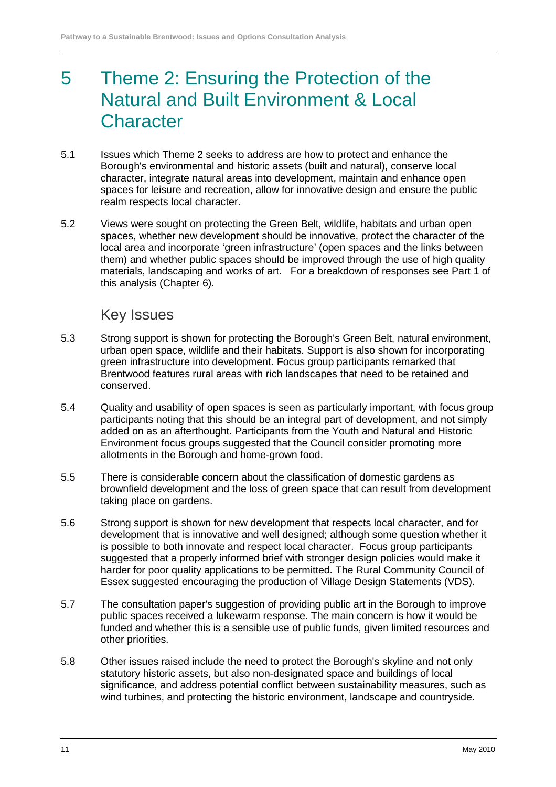# 5 Theme 2: Ensuring the Protection of the Natural and Built Environment & Local **Character**

- 5.1 Issues which Theme 2 seeks to address are how to protect and enhance the Borough's environmental and historic assets (built and natural), conserve local character, integrate natural areas into development, maintain and enhance open spaces for leisure and recreation, allow for innovative design and ensure the public realm respects local character.
- 5.2 Views were sought on protecting the Green Belt, wildlife, habitats and urban open spaces, whether new development should be innovative, protect the character of the local area and incorporate 'green infrastructure' (open spaces and the links between them) and whether public spaces should be improved through the use of high quality materials, landscaping and works of art. For a breakdown of responses see Part 1 of this analysis (Chapter 6).

### Key Issues

- 5.3 Strong support is shown for protecting the Borough's Green Belt, natural environment, urban open space, wildlife and their habitats. Support is also shown for incorporating green infrastructure into development. Focus group participants remarked that Brentwood features rural areas with rich landscapes that need to be retained and conserved.
- 5.4 Quality and usability of open spaces is seen as particularly important, with focus group participants noting that this should be an integral part of development, and not simply added on as an afterthought. Participants from the Youth and Natural and Historic Environment focus groups suggested that the Council consider promoting more allotments in the Borough and home-grown food.
- 5.5 There is considerable concern about the classification of domestic gardens as brownfield development and the loss of green space that can result from development taking place on gardens.
- 5.6 Strong support is shown for new development that respects local character, and for development that is innovative and well designed; although some question whether it is possible to both innovate and respect local character. Focus group participants suggested that a properly informed brief with stronger design policies would make it harder for poor quality applications to be permitted. The Rural Community Council of Essex suggested encouraging the production of Village Design Statements (VDS).
- 5.7 The consultation paper's suggestion of providing public art in the Borough to improve public spaces received a lukewarm response. The main concern is how it would be funded and whether this is a sensible use of public funds, given limited resources and other priorities.
- 5.8 Other issues raised include the need to protect the Borough's skyline and not only statutory historic assets, but also non-designated space and buildings of local significance, and address potential conflict between sustainability measures, such as wind turbines, and protecting the historic environment, landscape and countryside.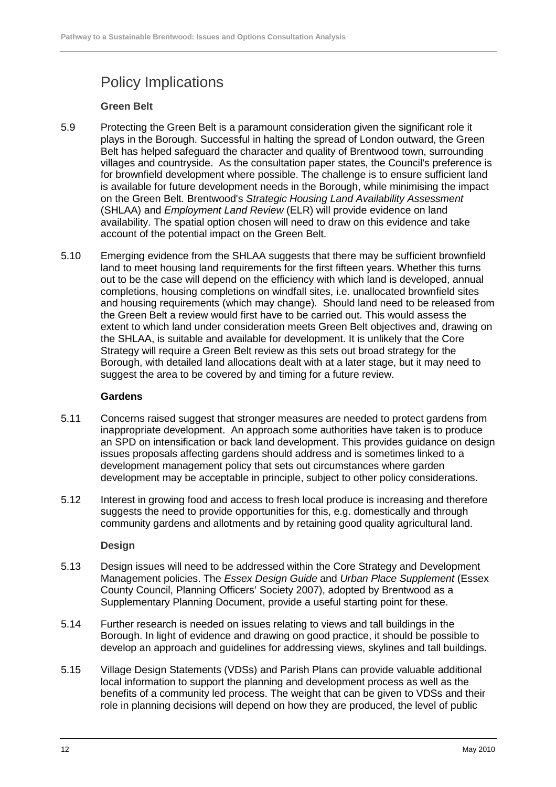# Policy Implications

#### **Green Belt**

- 5.9 Protecting the Green Belt is a paramount consideration given the significant role it plays in the Borough. Successful in halting the spread of London outward, the Green Belt has helped safeguard the character and quality of Brentwood town, surrounding villages and countryside. As the consultation paper states, the Council's preference is for brownfield development where possible. The challenge is to ensure sufficient land is available for future development needs in the Borough, while minimising the impact on the Green Belt. Brentwood's Strategic Housing Land Availability Assessment (SHLAA) and Employment Land Review (ELR) will provide evidence on land availability. The spatial option chosen will need to draw on this evidence and take account of the potential impact on the Green Belt.
- 5.10 Emerging evidence from the SHLAA suggests that there may be sufficient brownfield land to meet housing land requirements for the first fifteen years. Whether this turns out to be the case will depend on the efficiency with which land is developed, annual completions, housing completions on windfall sites, i.e. unallocated brownfield sites and housing requirements (which may change). Should land need to be released from the Green Belt a review would first have to be carried out. This would assess the extent to which land under consideration meets Green Belt objectives and, drawing on the SHLAA, is suitable and available for development. It is unlikely that the Core Strategy will require a Green Belt review as this sets out broad strategy for the Borough, with detailed land allocations dealt with at a later stage, but it may need to suggest the area to be covered by and timing for a future review.

#### **Gardens**

- 5.11 Concerns raised suggest that stronger measures are needed to protect gardens from inappropriate development. An approach some authorities have taken is to produce an SPD on intensification or back land development. This provides guidance on design issues proposals affecting gardens should address and is sometimes linked to a development management policy that sets out circumstances where garden development may be acceptable in principle, subject to other policy considerations.
- 5.12 Interest in growing food and access to fresh local produce is increasing and therefore suggests the need to provide opportunities for this, e.g. domestically and through community gardens and allotments and by retaining good quality agricultural land.

#### **Design**

- 5.13 Design issues will need to be addressed within the Core Strategy and Development Management policies. The Essex Design Guide and Urban Place Supplement (Essex County Council, Planning Officers' Society 2007), adopted by Brentwood as a Supplementary Planning Document, provide a useful starting point for these.
- 5.14 Further research is needed on issues relating to views and tall buildings in the Borough. In light of evidence and drawing on good practice, it should be possible to develop an approach and guidelines for addressing views, skylines and tall buildings.
- 5.15 Village Design Statements (VDSs) and Parish Plans can provide valuable additional local information to support the planning and development process as well as the benefits of a community led process. The weight that can be given to VDSs and their role in planning decisions will depend on how they are produced, the level of public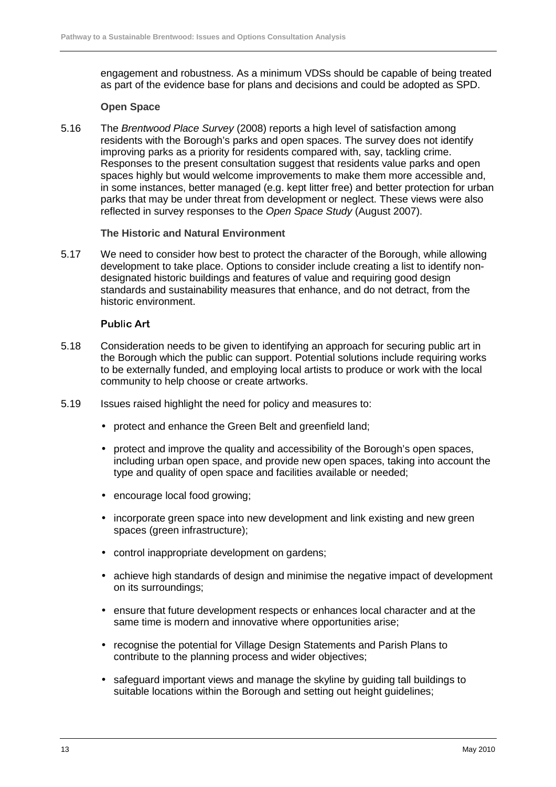engagement and robustness. As a minimum VDSs should be capable of being treated as part of the evidence base for plans and decisions and could be adopted as SPD.

#### **Open Space**

5.16 The Brentwood Place Survey (2008) reports a high level of satisfaction among residents with the Borough's parks and open spaces. The survey does not identify improving parks as a priority for residents compared with, say, tackling crime. Responses to the present consultation suggest that residents value parks and open spaces highly but would welcome improvements to make them more accessible and, in some instances, better managed (e.g. kept litter free) and better protection for urban parks that may be under threat from development or neglect. These views were also reflected in survey responses to the Open Space Study (August 2007).

#### **The Historic and Natural Environment**

5.17 We need to consider how best to protect the character of the Borough, while allowing development to take place. Options to consider include creating a list to identify nondesignated historic buildings and features of value and requiring good design standards and sustainability measures that enhance, and do not detract, from the historic environment.

#### **Public Art**

- 5.18 Consideration needs to be given to identifying an approach for securing public art in the Borough which the public can support. Potential solutions include requiring works to be externally funded, and employing local artists to produce or work with the local community to help choose or create artworks.
- 5.19 Issues raised highlight the need for policy and measures to:
	- protect and enhance the Green Belt and greenfield land;
	- protect and improve the quality and accessibility of the Borough's open spaces, including urban open space, and provide new open spaces, taking into account the type and quality of open space and facilities available or needed;
	- encourage local food growing;
	- incorporate green space into new development and link existing and new green spaces (green infrastructure);
	- control inappropriate development on gardens;
	- achieve high standards of design and minimise the negative impact of development on its surroundings;
	- ensure that future development respects or enhances local character and at the same time is modern and innovative where opportunities arise;
	- recognise the potential for Village Design Statements and Parish Plans to contribute to the planning process and wider objectives;
	- safeguard important views and manage the skyline by guiding tall buildings to suitable locations within the Borough and setting out height guidelines;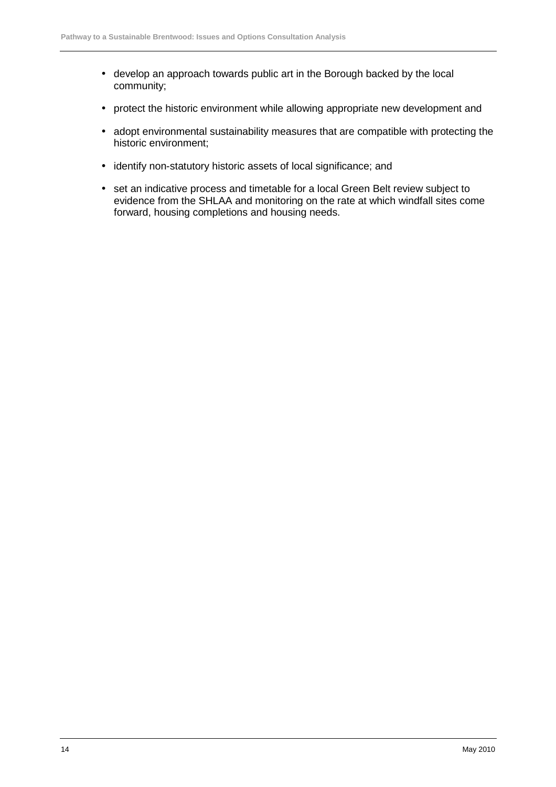- develop an approach towards public art in the Borough backed by the local community;
- protect the historic environment while allowing appropriate new development and
- adopt environmental sustainability measures that are compatible with protecting the historic environment;
- identify non-statutory historic assets of local significance; and
- set an indicative process and timetable for a local Green Belt review subject to evidence from the SHLAA and monitoring on the rate at which windfall sites come forward, housing completions and housing needs.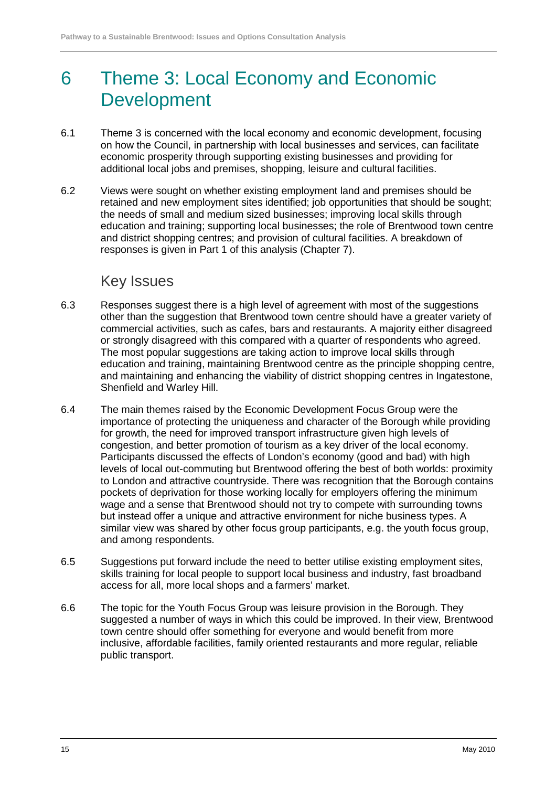# 6 Theme 3: Local Economy and Economic Development

- 6.1 Theme 3 is concerned with the local economy and economic development, focusing on how the Council, in partnership with local businesses and services, can facilitate economic prosperity through supporting existing businesses and providing for additional local jobs and premises, shopping, leisure and cultural facilities.
- 6.2 Views were sought on whether existing employment land and premises should be retained and new employment sites identified; job opportunities that should be sought; the needs of small and medium sized businesses; improving local skills through education and training; supporting local businesses; the role of Brentwood town centre and district shopping centres; and provision of cultural facilities. A breakdown of responses is given in Part 1 of this analysis (Chapter 7).

## Key Issues

- 6.3 Responses suggest there is a high level of agreement with most of the suggestions other than the suggestion that Brentwood town centre should have a greater variety of commercial activities, such as cafes, bars and restaurants. A majority either disagreed or strongly disagreed with this compared with a quarter of respondents who agreed. The most popular suggestions are taking action to improve local skills through education and training, maintaining Brentwood centre as the principle shopping centre, and maintaining and enhancing the viability of district shopping centres in Ingatestone, Shenfield and Warley Hill.
- 6.4 The main themes raised by the Economic Development Focus Group were the importance of protecting the uniqueness and character of the Borough while providing for growth, the need for improved transport infrastructure given high levels of congestion, and better promotion of tourism as a key driver of the local economy. Participants discussed the effects of London's economy (good and bad) with high levels of local out-commuting but Brentwood offering the best of both worlds: proximity to London and attractive countryside. There was recognition that the Borough contains pockets of deprivation for those working locally for employers offering the minimum wage and a sense that Brentwood should not try to compete with surrounding towns but instead offer a unique and attractive environment for niche business types. A similar view was shared by other focus group participants, e.g. the youth focus group, and among respondents.
- 6.5 Suggestions put forward include the need to better utilise existing employment sites, skills training for local people to support local business and industry, fast broadband access for all, more local shops and a farmers' market.
- 6.6 The topic for the Youth Focus Group was leisure provision in the Borough. They suggested a number of ways in which this could be improved. In their view, Brentwood town centre should offer something for everyone and would benefit from more inclusive, affordable facilities, family oriented restaurants and more regular, reliable public transport.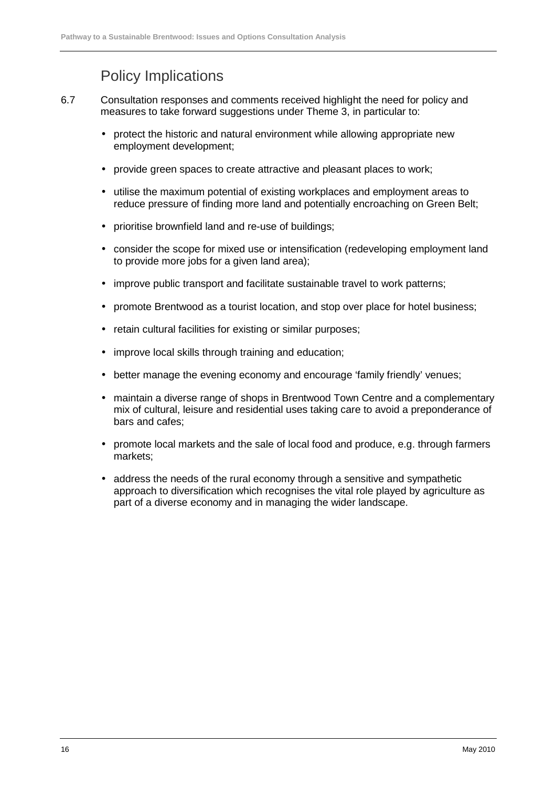## Policy Implications

- 6.7 Consultation responses and comments received highlight the need for policy and measures to take forward suggestions under Theme 3, in particular to:
	- protect the historic and natural environment while allowing appropriate new employment development;
	- provide green spaces to create attractive and pleasant places to work;
	- utilise the maximum potential of existing workplaces and employment areas to reduce pressure of finding more land and potentially encroaching on Green Belt;
	- prioritise brownfield land and re-use of buildings;
	- consider the scope for mixed use or intensification (redeveloping employment land to provide more jobs for a given land area);
	- improve public transport and facilitate sustainable travel to work patterns;
	- promote Brentwood as a tourist location, and stop over place for hotel business;
	- retain cultural facilities for existing or similar purposes;
	- improve local skills through training and education;
	- better manage the evening economy and encourage 'family friendly' venues:
	- maintain a diverse range of shops in Brentwood Town Centre and a complementary mix of cultural, leisure and residential uses taking care to avoid a preponderance of bars and cafes;
	- promote local markets and the sale of local food and produce, e.g. through farmers markets;
	- address the needs of the rural economy through a sensitive and sympathetic approach to diversification which recognises the vital role played by agriculture as part of a diverse economy and in managing the wider landscape.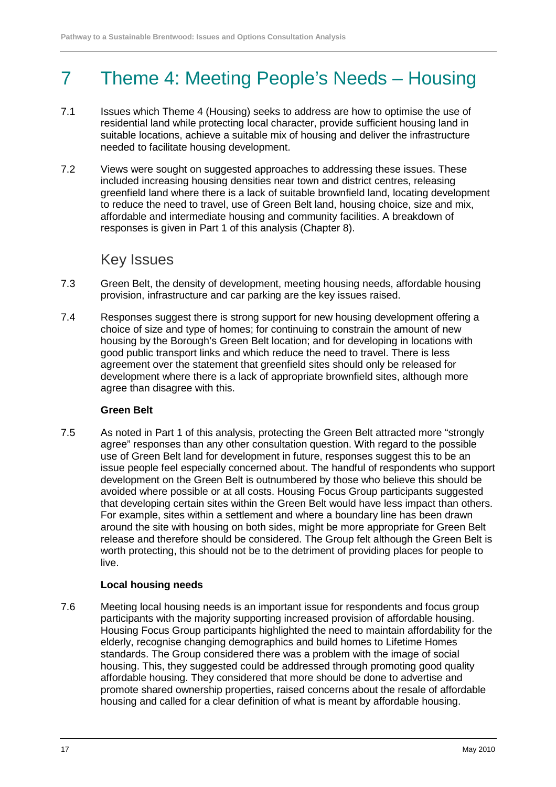# 7 Theme 4: Meeting People's Needs – Housing

- 7.1 Issues which Theme 4 (Housing) seeks to address are how to optimise the use of residential land while protecting local character, provide sufficient housing land in suitable locations, achieve a suitable mix of housing and deliver the infrastructure needed to facilitate housing development.
- 7.2 Views were sought on suggested approaches to addressing these issues. These included increasing housing densities near town and district centres, releasing greenfield land where there is a lack of suitable brownfield land, locating development to reduce the need to travel, use of Green Belt land, housing choice, size and mix, affordable and intermediate housing and community facilities. A breakdown of responses is given in Part 1 of this analysis (Chapter 8).

## Key Issues

- 7.3 Green Belt, the density of development, meeting housing needs, affordable housing provision, infrastructure and car parking are the key issues raised.
- 7.4 Responses suggest there is strong support for new housing development offering a choice of size and type of homes; for continuing to constrain the amount of new housing by the Borough's Green Belt location; and for developing in locations with good public transport links and which reduce the need to travel. There is less agreement over the statement that greenfield sites should only be released for development where there is a lack of appropriate brownfield sites, although more agree than disagree with this.

#### **Green Belt**

7.5 As noted in Part 1 of this analysis, protecting the Green Belt attracted more "strongly agree" responses than any other consultation question. With regard to the possible use of Green Belt land for development in future, responses suggest this to be an issue people feel especially concerned about. The handful of respondents who support development on the Green Belt is outnumbered by those who believe this should be avoided where possible or at all costs. Housing Focus Group participants suggested that developing certain sites within the Green Belt would have less impact than others. For example, sites within a settlement and where a boundary line has been drawn around the site with housing on both sides, might be more appropriate for Green Belt release and therefore should be considered. The Group felt although the Green Belt is worth protecting, this should not be to the detriment of providing places for people to live.

#### **Local housing needs**

7.6 Meeting local housing needs is an important issue for respondents and focus group participants with the majority supporting increased provision of affordable housing. Housing Focus Group participants highlighted the need to maintain affordability for the elderly, recognise changing demographics and build homes to Lifetime Homes standards. The Group considered there was a problem with the image of social housing. This, they suggested could be addressed through promoting good quality affordable housing. They considered that more should be done to advertise and promote shared ownership properties, raised concerns about the resale of affordable housing and called for a clear definition of what is meant by affordable housing.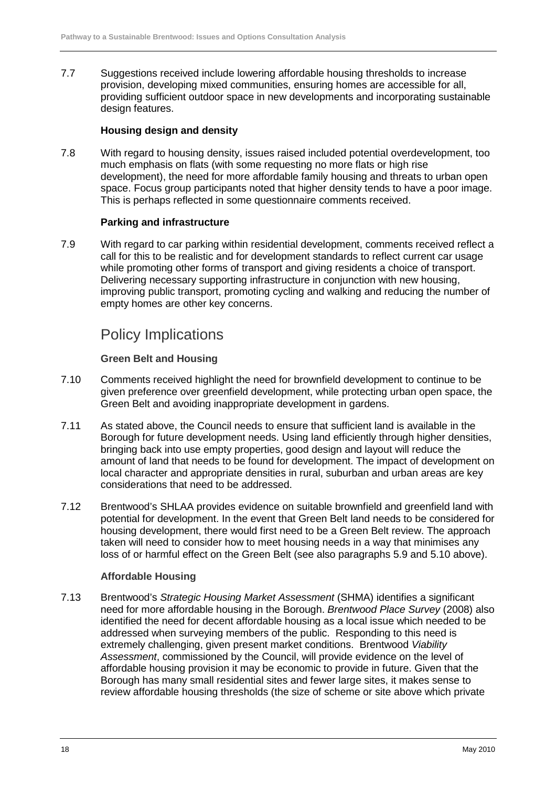7.7 Suggestions received include lowering affordable housing thresholds to increase provision, developing mixed communities, ensuring homes are accessible for all, providing sufficient outdoor space in new developments and incorporating sustainable design features.

#### **Housing design and density**

7.8 With regard to housing density, issues raised included potential overdevelopment, too much emphasis on flats (with some requesting no more flats or high rise development), the need for more affordable family housing and threats to urban open space. Focus group participants noted that higher density tends to have a poor image. This is perhaps reflected in some questionnaire comments received.

#### **Parking and infrastructure**

7.9 With regard to car parking within residential development, comments received reflect a call for this to be realistic and for development standards to reflect current car usage while promoting other forms of transport and giving residents a choice of transport. Delivering necessary supporting infrastructure in conjunction with new housing, improving public transport, promoting cycling and walking and reducing the number of empty homes are other key concerns.

## Policy Implications

#### **Green Belt and Housing**

- 7.10 Comments received highlight the need for brownfield development to continue to be given preference over greenfield development, while protecting urban open space, the Green Belt and avoiding inappropriate development in gardens.
- 7.11 As stated above, the Council needs to ensure that sufficient land is available in the Borough for future development needs. Using land efficiently through higher densities, bringing back into use empty properties, good design and layout will reduce the amount of land that needs to be found for development. The impact of development on local character and appropriate densities in rural, suburban and urban areas are key considerations that need to be addressed.
- 7.12 Brentwood's SHLAA provides evidence on suitable brownfield and greenfield land with potential for development. In the event that Green Belt land needs to be considered for housing development, there would first need to be a Green Belt review. The approach taken will need to consider how to meet housing needs in a way that minimises any loss of or harmful effect on the Green Belt (see also paragraphs 5.9 and 5.10 above).

#### **Affordable Housing**

7.13 Brentwood's Strategic Housing Market Assessment (SHMA) identifies a significant need for more affordable housing in the Borough. Brentwood Place Survey (2008) also identified the need for decent affordable housing as a local issue which needed to be addressed when surveying members of the public. Responding to this need is extremely challenging, given present market conditions. Brentwood Viability Assessment, commissioned by the Council, will provide evidence on the level of affordable housing provision it may be economic to provide in future. Given that the Borough has many small residential sites and fewer large sites, it makes sense to review affordable housing thresholds (the size of scheme or site above which private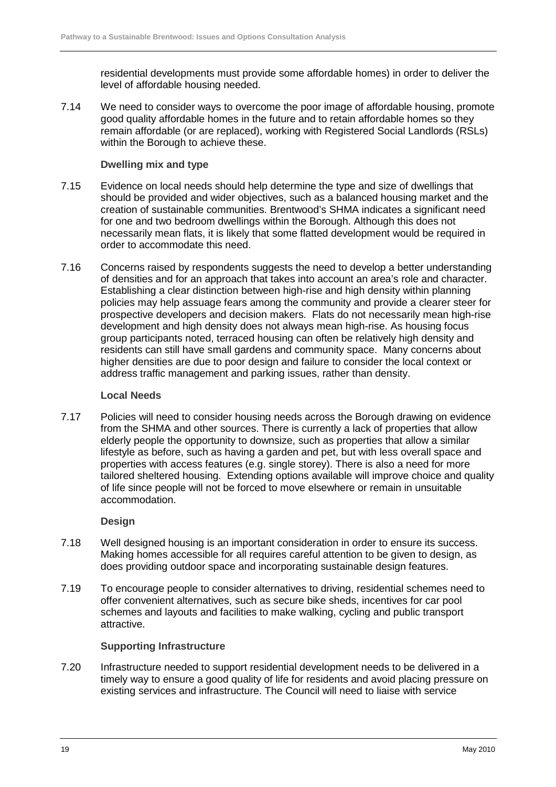residential developments must provide some affordable homes) in order to deliver the level of affordable housing needed.

7.14 We need to consider ways to overcome the poor image of affordable housing, promote good quality affordable homes in the future and to retain affordable homes so they remain affordable (or are replaced), working with Registered Social Landlords (RSLs) within the Borough to achieve these.

#### **Dwelling mix and type**

- 7.15 Evidence on local needs should help determine the type and size of dwellings that should be provided and wider objectives, such as a balanced housing market and the creation of sustainable communities. Brentwood's SHMA indicates a significant need for one and two bedroom dwellings within the Borough. Although this does not necessarily mean flats, it is likely that some flatted development would be required in order to accommodate this need.
- 7.16 Concerns raised by respondents suggests the need to develop a better understanding of densities and for an approach that takes into account an area's role and character. Establishing a clear distinction between high-rise and high density within planning policies may help assuage fears among the community and provide a clearer steer for prospective developers and decision makers. Flats do not necessarily mean high-rise development and high density does not always mean high-rise. As housing focus group participants noted, terraced housing can often be relatively high density and residents can still have small gardens and community space. Many concerns about higher densities are due to poor design and failure to consider the local context or address traffic management and parking issues, rather than density.

#### **Local Needs**

7.17 Policies will need to consider housing needs across the Borough drawing on evidence from the SHMA and other sources. There is currently a lack of properties that allow elderly people the opportunity to downsize, such as properties that allow a similar lifestyle as before, such as having a garden and pet, but with less overall space and properties with access features (e.g. single storey). There is also a need for more tailored sheltered housing. Extending options available will improve choice and quality of life since people will not be forced to move elsewhere or remain in unsuitable accommodation.

#### **Design**

- 7.18 Well designed housing is an important consideration in order to ensure its success. Making homes accessible for all requires careful attention to be given to design, as does providing outdoor space and incorporating sustainable design features.
- 7.19 To encourage people to consider alternatives to driving, residential schemes need to offer convenient alternatives, such as secure bike sheds, incentives for car pool schemes and layouts and facilities to make walking, cycling and public transport attractive.

#### **Supporting Infrastructure**

7.20 Infrastructure needed to support residential development needs to be delivered in a timely way to ensure a good quality of life for residents and avoid placing pressure on existing services and infrastructure. The Council will need to liaise with service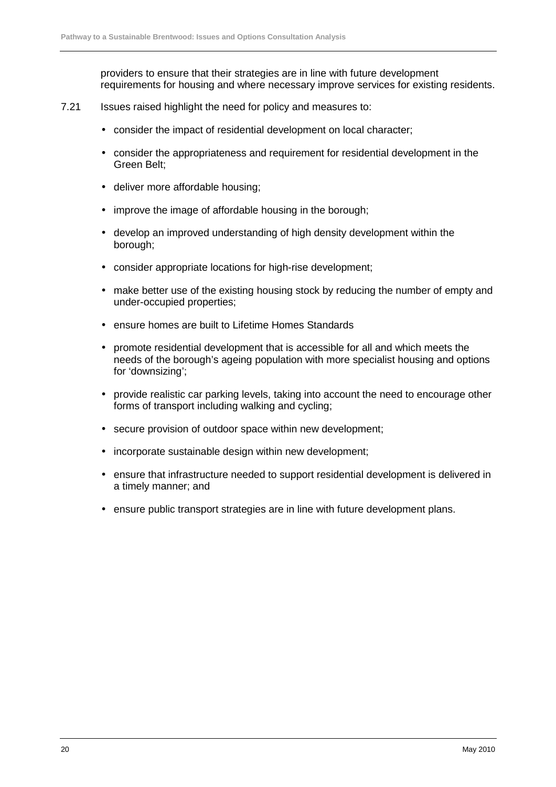providers to ensure that their strategies are in line with future development requirements for housing and where necessary improve services for existing residents.

- 7.21 Issues raised highlight the need for policy and measures to:
	- consider the impact of residential development on local character;
	- consider the appropriateness and requirement for residential development in the Green Belt;
	- deliver more affordable housing;
	- improve the image of affordable housing in the borough;
	- develop an improved understanding of high density development within the borough;
	- consider appropriate locations for high-rise development;
	- make better use of the existing housing stock by reducing the number of empty and under-occupied properties;
	- ensure homes are built to Lifetime Homes Standards
	- promote residential development that is accessible for all and which meets the needs of the borough's ageing population with more specialist housing and options for 'downsizing';
	- provide realistic car parking levels, taking into account the need to encourage other forms of transport including walking and cycling;
	- secure provision of outdoor space within new development;
	- incorporate sustainable design within new development;
	- ensure that infrastructure needed to support residential development is delivered in a timely manner; and
	- ensure public transport strategies are in line with future development plans.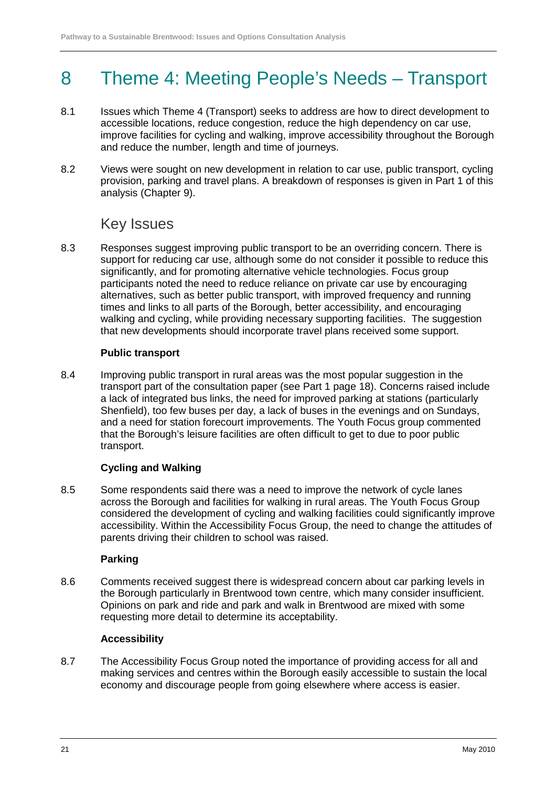# 8 Theme 4: Meeting People's Needs – Transport

- 8.1 Issues which Theme 4 (Transport) seeks to address are how to direct development to accessible locations, reduce congestion, reduce the high dependency on car use, improve facilities for cycling and walking, improve accessibility throughout the Borough and reduce the number, length and time of journeys.
- 8.2 Views were sought on new development in relation to car use, public transport, cycling provision, parking and travel plans. A breakdown of responses is given in Part 1 of this analysis (Chapter 9).

## Key Issues

8.3 Responses suggest improving public transport to be an overriding concern. There is support for reducing car use, although some do not consider it possible to reduce this significantly, and for promoting alternative vehicle technologies. Focus group participants noted the need to reduce reliance on private car use by encouraging alternatives, such as better public transport, with improved frequency and running times and links to all parts of the Borough, better accessibility, and encouraging walking and cycling, while providing necessary supporting facilities. The suggestion that new developments should incorporate travel plans received some support.

#### **Public transport**

8.4 Improving public transport in rural areas was the most popular suggestion in the transport part of the consultation paper (see Part 1 page 18). Concerns raised include a lack of integrated bus links, the need for improved parking at stations (particularly Shenfield), too few buses per day, a lack of buses in the evenings and on Sundays, and a need for station forecourt improvements. The Youth Focus group commented that the Borough's leisure facilities are often difficult to get to due to poor public transport.

#### **Cycling and Walking**

8.5 Some respondents said there was a need to improve the network of cycle lanes across the Borough and facilities for walking in rural areas. The Youth Focus Group considered the development of cycling and walking facilities could significantly improve accessibility. Within the Accessibility Focus Group, the need to change the attitudes of parents driving their children to school was raised.

#### **Parking**

8.6 Comments received suggest there is widespread concern about car parking levels in the Borough particularly in Brentwood town centre, which many consider insufficient. Opinions on park and ride and park and walk in Brentwood are mixed with some requesting more detail to determine its acceptability.

#### **Accessibility**

8.7 The Accessibility Focus Group noted the importance of providing access for all and making services and centres within the Borough easily accessible to sustain the local economy and discourage people from going elsewhere where access is easier.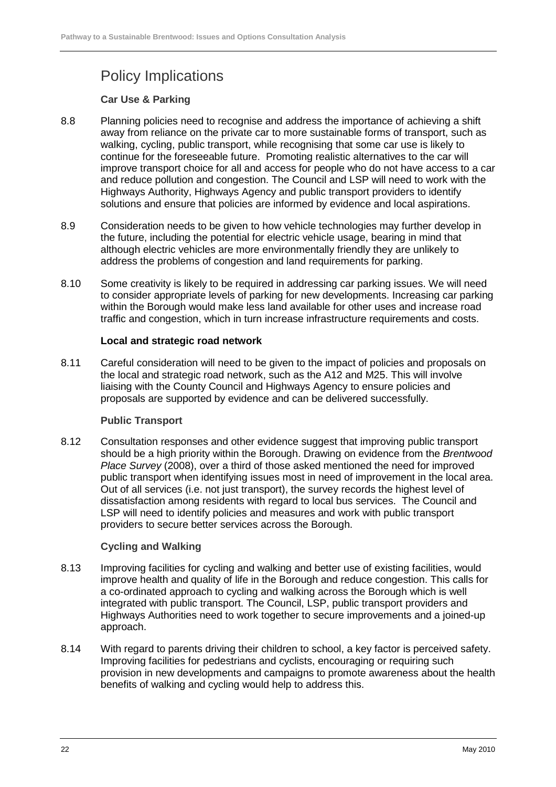## Policy Implications

#### **Car Use & Parking**

- 8.8 Planning policies need to recognise and address the importance of achieving a shift away from reliance on the private car to more sustainable forms of transport, such as walking, cycling, public transport, while recognising that some car use is likely to continue for the foreseeable future. Promoting realistic alternatives to the car will improve transport choice for all and access for people who do not have access to a car and reduce pollution and congestion. The Council and LSP will need to work with the Highways Authority, Highways Agency and public transport providers to identify solutions and ensure that policies are informed by evidence and local aspirations.
- 8.9 Consideration needs to be given to how vehicle technologies may further develop in the future, including the potential for electric vehicle usage, bearing in mind that although electric vehicles are more environmentally friendly they are unlikely to address the problems of congestion and land requirements for parking.
- 8.10 Some creativity is likely to be required in addressing car parking issues. We will need to consider appropriate levels of parking for new developments. Increasing car parking within the Borough would make less land available for other uses and increase road traffic and congestion, which in turn increase infrastructure requirements and costs.

#### **Local and strategic road network**

8.11 Careful consideration will need to be given to the impact of policies and proposals on the local and strategic road network, such as the A12 and M25. This will involve liaising with the County Council and Highways Agency to ensure policies and proposals are supported by evidence and can be delivered successfully.

#### **Public Transport**

8.12 Consultation responses and other evidence suggest that improving public transport should be a high priority within the Borough. Drawing on evidence from the Brentwood Place Survey (2008), over a third of those asked mentioned the need for improved public transport when identifying issues most in need of improvement in the local area. Out of all services (i.e. not just transport), the survey records the highest level of dissatisfaction among residents with regard to local bus services. The Council and LSP will need to identify policies and measures and work with public transport providers to secure better services across the Borough.

#### **Cycling and Walking**

- 8.13 Improving facilities for cycling and walking and better use of existing facilities, would improve health and quality of life in the Borough and reduce congestion. This calls for a co-ordinated approach to cycling and walking across the Borough which is well integrated with public transport. The Council, LSP, public transport providers and Highways Authorities need to work together to secure improvements and a joined-up approach.
- 8.14 With regard to parents driving their children to school, a key factor is perceived safety. Improving facilities for pedestrians and cyclists, encouraging or requiring such provision in new developments and campaigns to promote awareness about the health benefits of walking and cycling would help to address this.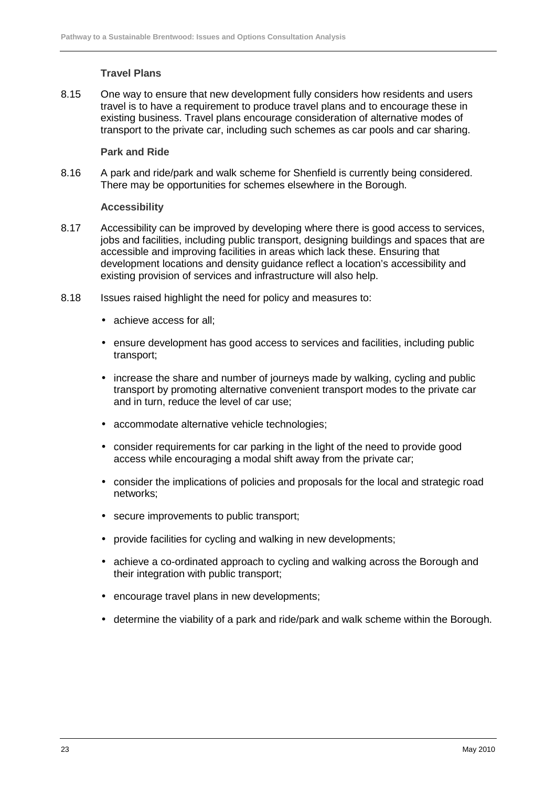#### **Travel Plans**

8.15 One way to ensure that new development fully considers how residents and users travel is to have a requirement to produce travel plans and to encourage these in existing business. Travel plans encourage consideration of alternative modes of transport to the private car, including such schemes as car pools and car sharing.

#### **Park and Ride**

8.16 A park and ride/park and walk scheme for Shenfield is currently being considered. There may be opportunities for schemes elsewhere in the Borough.

#### **Accessibility**

- 8.17 Accessibility can be improved by developing where there is good access to services, jobs and facilities, including public transport, designing buildings and spaces that are accessible and improving facilities in areas which lack these. Ensuring that development locations and density guidance reflect a location's accessibility and existing provision of services and infrastructure will also help.
- 8.18 Issues raised highlight the need for policy and measures to:
	- achieve access for all:
	- ensure development has good access to services and facilities, including public transport;
	- increase the share and number of journeys made by walking, cycling and public transport by promoting alternative convenient transport modes to the private car and in turn, reduce the level of car use;
	- accommodate alternative vehicle technologies;
	- consider requirements for car parking in the light of the need to provide good access while encouraging a modal shift away from the private car;
	- consider the implications of policies and proposals for the local and strategic road networks;
	- secure improvements to public transport;
	- provide facilities for cycling and walking in new developments:
	- achieve a co-ordinated approach to cycling and walking across the Borough and their integration with public transport;
	- encourage travel plans in new developments;
	- determine the viability of a park and ride/park and walk scheme within the Borough.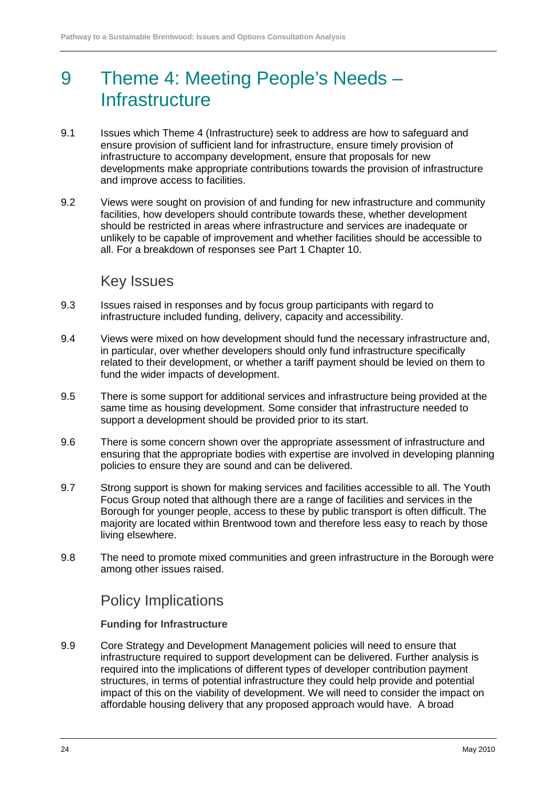# 9 Theme 4: Meeting People's Needs – **Infrastructure**

- 9.1 Issues which Theme 4 (Infrastructure) seek to address are how to safeguard and ensure provision of sufficient land for infrastructure, ensure timely provision of infrastructure to accompany development, ensure that proposals for new developments make appropriate contributions towards the provision of infrastructure and improve access to facilities.
- 9.2 Views were sought on provision of and funding for new infrastructure and community facilities, how developers should contribute towards these, whether development should be restricted in areas where infrastructure and services are inadequate or unlikely to be capable of improvement and whether facilities should be accessible to all. For a breakdown of responses see Part 1 Chapter 10.

## Key Issues

- 9.3 Issues raised in responses and by focus group participants with regard to infrastructure included funding, delivery, capacity and accessibility.
- 9.4 Views were mixed on how development should fund the necessary infrastructure and, in particular, over whether developers should only fund infrastructure specifically related to their development, or whether a tariff payment should be levied on them to fund the wider impacts of development.
- 9.5 There is some support for additional services and infrastructure being provided at the same time as housing development. Some consider that infrastructure needed to support a development should be provided prior to its start.
- 9.6 There is some concern shown over the appropriate assessment of infrastructure and ensuring that the appropriate bodies with expertise are involved in developing planning policies to ensure they are sound and can be delivered.
- 9.7 Strong support is shown for making services and facilities accessible to all. The Youth Focus Group noted that although there are a range of facilities and services in the Borough for younger people, access to these by public transport is often difficult. The majority are located within Brentwood town and therefore less easy to reach by those living elsewhere.
- 9.8 The need to promote mixed communities and green infrastructure in the Borough were among other issues raised.

## Policy Implications

#### **Funding for Infrastructure**

9.9 Core Strategy and Development Management policies will need to ensure that infrastructure required to support development can be delivered. Further analysis is required into the implications of different types of developer contribution payment structures, in terms of potential infrastructure they could help provide and potential impact of this on the viability of development. We will need to consider the impact on affordable housing delivery that any proposed approach would have. A broad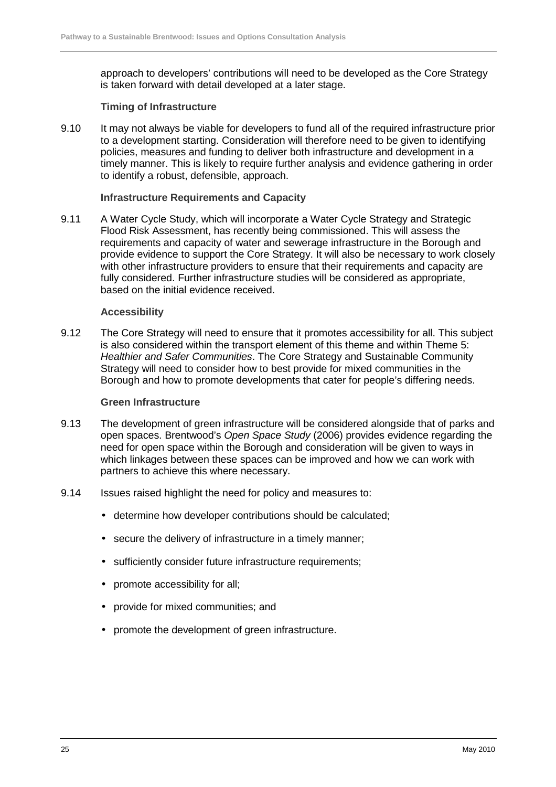approach to developers' contributions will need to be developed as the Core Strategy is taken forward with detail developed at a later stage.

#### **Timing of Infrastructure**

9.10 It may not always be viable for developers to fund all of the required infrastructure prior to a development starting. Consideration will therefore need to be given to identifying policies, measures and funding to deliver both infrastructure and development in a timely manner. This is likely to require further analysis and evidence gathering in order to identify a robust, defensible, approach.

#### **Infrastructure Requirements and Capacity**

9.11 A Water Cycle Study, which will incorporate a Water Cycle Strategy and Strategic Flood Risk Assessment, has recently being commissioned. This will assess the requirements and capacity of water and sewerage infrastructure in the Borough and provide evidence to support the Core Strategy. It will also be necessary to work closely with other infrastructure providers to ensure that their requirements and capacity are fully considered. Further infrastructure studies will be considered as appropriate, based on the initial evidence received.

#### **Accessibility**

9.12 The Core Strategy will need to ensure that it promotes accessibility for all. This subject is also considered within the transport element of this theme and within Theme 5: Healthier and Safer Communities. The Core Strategy and Sustainable Community Strategy will need to consider how to best provide for mixed communities in the Borough and how to promote developments that cater for people's differing needs.

#### **Green Infrastructure**

- 9.13 The development of green infrastructure will be considered alongside that of parks and open spaces. Brentwood's Open Space Study (2006) provides evidence regarding the need for open space within the Borough and consideration will be given to ways in which linkages between these spaces can be improved and how we can work with partners to achieve this where necessary.
- 9.14 Issues raised highlight the need for policy and measures to:
	- determine how developer contributions should be calculated;
	- secure the delivery of infrastructure in a timely manner;
	- sufficiently consider future infrastructure requirements;
	- promote accessibility for all;
	- provide for mixed communities; and
	- promote the development of green infrastructure.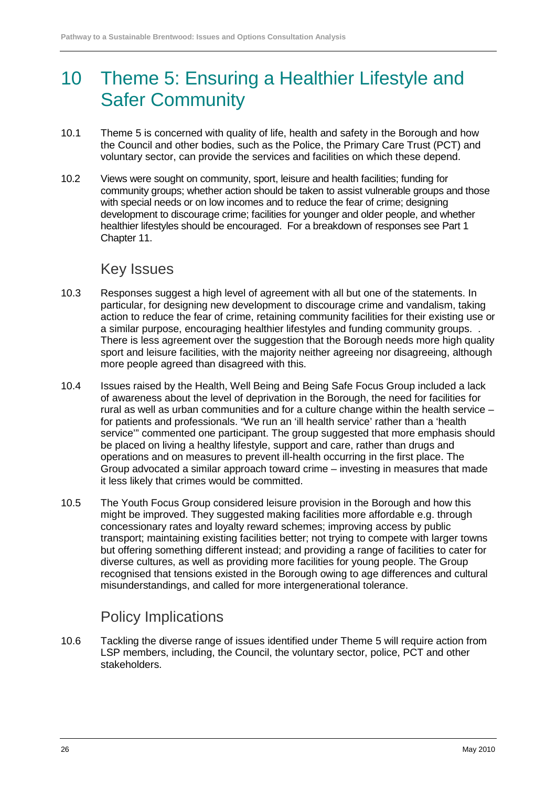# 10 Theme 5: Ensuring a Healthier Lifestyle and Safer Community

- 10.1 Theme 5 is concerned with quality of life, health and safety in the Borough and how the Council and other bodies, such as the Police, the Primary Care Trust (PCT) and voluntary sector, can provide the services and facilities on which these depend.
- 10.2 Views were sought on community, sport, leisure and health facilities; funding for community groups; whether action should be taken to assist vulnerable groups and those with special needs or on low incomes and to reduce the fear of crime; designing development to discourage crime; facilities for younger and older people, and whether healthier lifestyles should be encouraged. For a breakdown of responses see Part 1 Chapter 11.

### Key Issues

- 10.3 Responses suggest a high level of agreement with all but one of the statements. In particular, for designing new development to discourage crime and vandalism, taking action to reduce the fear of crime, retaining community facilities for their existing use or a similar purpose, encouraging healthier lifestyles and funding community groups. . There is less agreement over the suggestion that the Borough needs more high quality sport and leisure facilities, with the majority neither agreeing nor disagreeing, although more people agreed than disagreed with this.
- 10.4 Issues raised by the Health, Well Being and Being Safe Focus Group included a lack of awareness about the level of deprivation in the Borough, the need for facilities for rural as well as urban communities and for a culture change within the health service – for patients and professionals. "We run an 'ill health service' rather than a 'health service'" commented one participant. The group suggested that more emphasis should be placed on living a healthy lifestyle, support and care, rather than drugs and operations and on measures to prevent ill-health occurring in the first place. The Group advocated a similar approach toward crime – investing in measures that made it less likely that crimes would be committed.
- 10.5 The Youth Focus Group considered leisure provision in the Borough and how this might be improved. They suggested making facilities more affordable e.g. through concessionary rates and loyalty reward schemes; improving access by public transport; maintaining existing facilities better; not trying to compete with larger towns but offering something different instead; and providing a range of facilities to cater for diverse cultures, as well as providing more facilities for young people. The Group recognised that tensions existed in the Borough owing to age differences and cultural misunderstandings, and called for more intergenerational tolerance.

## Policy Implications

10.6 Tackling the diverse range of issues identified under Theme 5 will require action from LSP members, including, the Council, the voluntary sector, police, PCT and other stakeholders.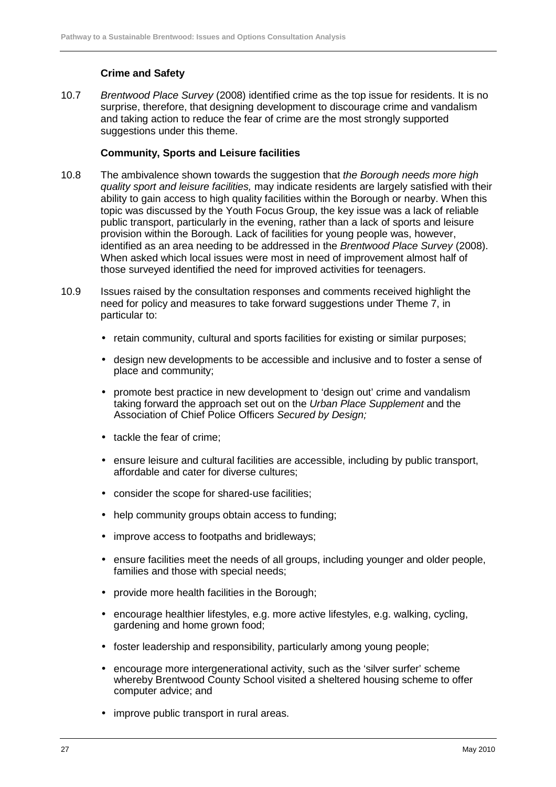#### **Crime and Safety**

10.7 Brentwood Place Survey (2008) identified crime as the top issue for residents. It is no surprise, therefore, that designing development to discourage crime and vandalism and taking action to reduce the fear of crime are the most strongly supported suggestions under this theme.

#### **Community, Sports and Leisure facilities**

- 10.8 The ambivalence shown towards the suggestion that the Borough needs more high quality sport and leisure facilities, may indicate residents are largely satisfied with their ability to gain access to high quality facilities within the Borough or nearby. When this topic was discussed by the Youth Focus Group, the key issue was a lack of reliable public transport, particularly in the evening, rather than a lack of sports and leisure provision within the Borough. Lack of facilities for young people was, however, identified as an area needing to be addressed in the Brentwood Place Survey (2008). When asked which local issues were most in need of improvement almost half of those surveyed identified the need for improved activities for teenagers.
- 10.9 Issues raised by the consultation responses and comments received highlight the need for policy and measures to take forward suggestions under Theme 7, in particular to:
	- retain community, cultural and sports facilities for existing or similar purposes;
	- design new developments to be accessible and inclusive and to foster a sense of place and community;
	- promote best practice in new development to 'design out' crime and vandalism taking forward the approach set out on the Urban Place Supplement and the Association of Chief Police Officers Secured by Design;
	- tackle the fear of crime;
	- ensure leisure and cultural facilities are accessible, including by public transport, affordable and cater for diverse cultures;
	- consider the scope for shared-use facilities;
	- help community groups obtain access to funding;
	- improve access to footpaths and bridleways;
	- ensure facilities meet the needs of all groups, including younger and older people. families and those with special needs;
	- provide more health facilities in the Borough;
	- encourage healthier lifestyles, e.g. more active lifestyles, e.g. walking, cycling, gardening and home grown food;
	- foster leadership and responsibility, particularly among young people;
	- encourage more intergenerational activity, such as the 'silver surfer' scheme whereby Brentwood County School visited a sheltered housing scheme to offer computer advice; and
	- improve public transport in rural areas.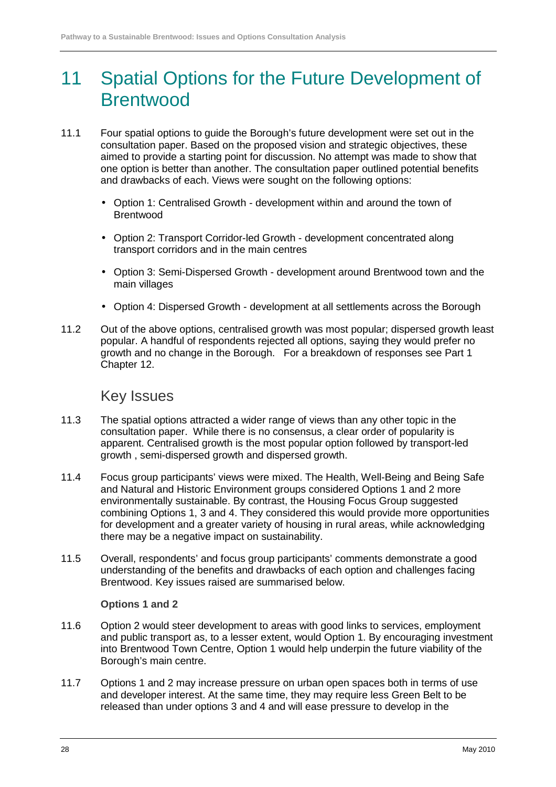# 11 Spatial Options for the Future Development of **Brentwood**

- 11.1 Four spatial options to guide the Borough's future development were set out in the consultation paper. Based on the proposed vision and strategic objectives, these aimed to provide a starting point for discussion. No attempt was made to show that one option is better than another. The consultation paper outlined potential benefits and drawbacks of each. Views were sought on the following options:
	- Option 1: Centralised Growth development within and around the town of Brentwood
	- Option 2: Transport Corridor-led Growth development concentrated along transport corridors and in the main centres
	- Option 3: Semi-Dispersed Growth development around Brentwood town and the main villages
	- Option 4: Dispersed Growth development at all settlements across the Borough
- 11.2 Out of the above options, centralised growth was most popular; dispersed growth least popular. A handful of respondents rejected all options, saying they would prefer no growth and no change in the Borough. For a breakdown of responses see Part 1 Chapter 12.

### Key Issues

- 11.3 The spatial options attracted a wider range of views than any other topic in the consultation paper. While there is no consensus, a clear order of popularity is apparent. Centralised growth is the most popular option followed by transport-led growth , semi-dispersed growth and dispersed growth.
- 11.4 Focus group participants' views were mixed. The Health, Well-Being and Being Safe and Natural and Historic Environment groups considered Options 1 and 2 more environmentally sustainable. By contrast, the Housing Focus Group suggested combining Options 1, 3 and 4. They considered this would provide more opportunities for development and a greater variety of housing in rural areas, while acknowledging there may be a negative impact on sustainability.
- 11.5 Overall, respondents' and focus group participants' comments demonstrate a good understanding of the benefits and drawbacks of each option and challenges facing Brentwood. Key issues raised are summarised below.

#### **Options 1 and 2**

- 11.6 Option 2 would steer development to areas with good links to services, employment and public transport as, to a lesser extent, would Option 1. By encouraging investment into Brentwood Town Centre, Option 1 would help underpin the future viability of the Borough's main centre.
- 11.7 Options 1 and 2 may increase pressure on urban open spaces both in terms of use and developer interest. At the same time, they may require less Green Belt to be released than under options 3 and 4 and will ease pressure to develop in the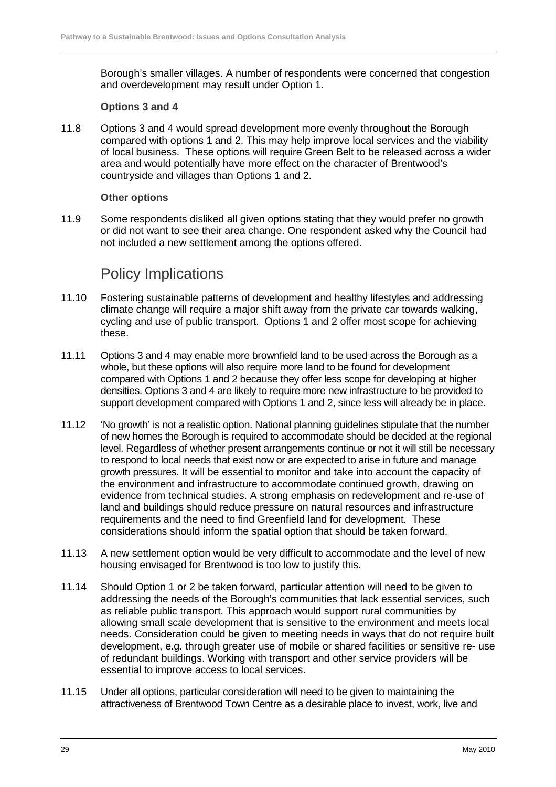Borough's smaller villages. A number of respondents were concerned that congestion and overdevelopment may result under Option 1.

#### **Options 3 and 4**

11.8 Options 3 and 4 would spread development more evenly throughout the Borough compared with options 1 and 2. This may help improve local services and the viability of local business. These options will require Green Belt to be released across a wider area and would potentially have more effect on the character of Brentwood's countryside and villages than Options 1 and 2.

#### **Other options**

11.9 Some respondents disliked all given options stating that they would prefer no growth or did not want to see their area change. One respondent asked why the Council had not included a new settlement among the options offered.

### Policy Implications

- 11.10 Fostering sustainable patterns of development and healthy lifestyles and addressing climate change will require a major shift away from the private car towards walking, cycling and use of public transport. Options 1 and 2 offer most scope for achieving these.
- 11.11 Options 3 and 4 may enable more brownfield land to be used across the Borough as a whole, but these options will also require more land to be found for development compared with Options 1 and 2 because they offer less scope for developing at higher densities. Options 3 and 4 are likely to require more new infrastructure to be provided to support development compared with Options 1 and 2, since less will already be in place.
- 11.12 'No growth' is not a realistic option. National planning guidelines stipulate that the number of new homes the Borough is required to accommodate should be decided at the regional level. Regardless of whether present arrangements continue or not it will still be necessary to respond to local needs that exist now or are expected to arise in future and manage growth pressures. It will be essential to monitor and take into account the capacity of the environment and infrastructure to accommodate continued growth, drawing on evidence from technical studies. A strong emphasis on redevelopment and re-use of land and buildings should reduce pressure on natural resources and infrastructure requirements and the need to find Greenfield land for development. These considerations should inform the spatial option that should be taken forward.
- 11.13 A new settlement option would be very difficult to accommodate and the level of new housing envisaged for Brentwood is too low to justify this.
- 11.14 Should Option 1 or 2 be taken forward, particular attention will need to be given to addressing the needs of the Borough's communities that lack essential services, such as reliable public transport. This approach would support rural communities by allowing small scale development that is sensitive to the environment and meets local needs. Consideration could be given to meeting needs in ways that do not require built development, e.g. through greater use of mobile or shared facilities or sensitive re- use of redundant buildings. Working with transport and other service providers will be essential to improve access to local services.
- 11.15 Under all options, particular consideration will need to be given to maintaining the attractiveness of Brentwood Town Centre as a desirable place to invest, work, live and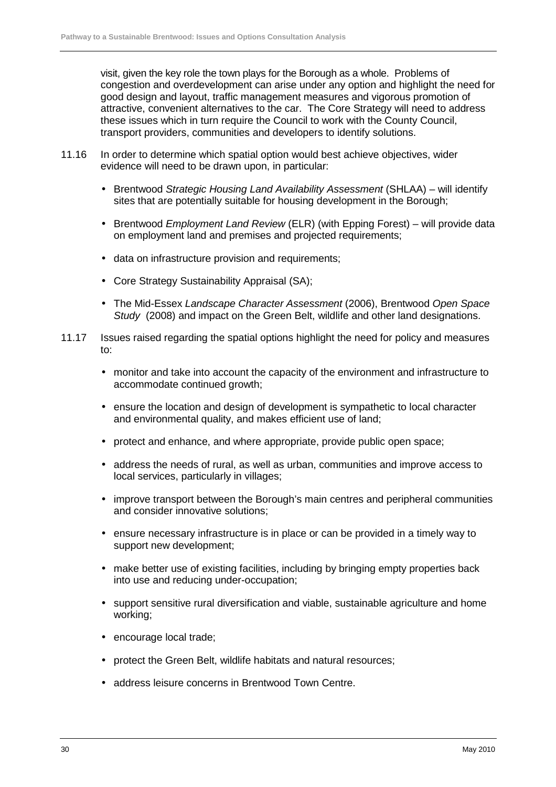visit, given the key role the town plays for the Borough as a whole. Problems of congestion and overdevelopment can arise under any option and highlight the need for good design and layout, traffic management measures and vigorous promotion of attractive, convenient alternatives to the car. The Core Strategy will need to address these issues which in turn require the Council to work with the County Council, transport providers, communities and developers to identify solutions.

- 11.16 In order to determine which spatial option would best achieve objectives, wider evidence will need to be drawn upon, in particular:
	- Brentwood Strategic Housing Land Availability Assessment (SHLAA) will identify sites that are potentially suitable for housing development in the Borough;
	- Brentwood *Employment Land Review* (ELR) (with Epping Forest) will provide data on employment land and premises and projected requirements;
	- data on infrastructure provision and requirements;
	- Core Strategy Sustainability Appraisal (SA);
	- The Mid-Essex Landscape Character Assessment (2006), Brentwood Open Space Study (2008) and impact on the Green Belt, wildlife and other land designations.
- 11.17 Issues raised regarding the spatial options highlight the need for policy and measures to:
	- monitor and take into account the capacity of the environment and infrastructure to accommodate continued growth;
	- ensure the location and design of development is sympathetic to local character and environmental quality, and makes efficient use of land;
	- protect and enhance, and where appropriate, provide public open space;
	- address the needs of rural, as well as urban, communities and improve access to local services, particularly in villages;
	- improve transport between the Borough's main centres and peripheral communities and consider innovative solutions;
	- ensure necessary infrastructure is in place or can be provided in a timely way to support new development;
	- make better use of existing facilities, including by bringing empty properties back into use and reducing under-occupation;
	- support sensitive rural diversification and viable, sustainable agriculture and home working;
	- encourage local trade;
	- protect the Green Belt, wildlife habitats and natural resources:
	- address leisure concerns in Brentwood Town Centre.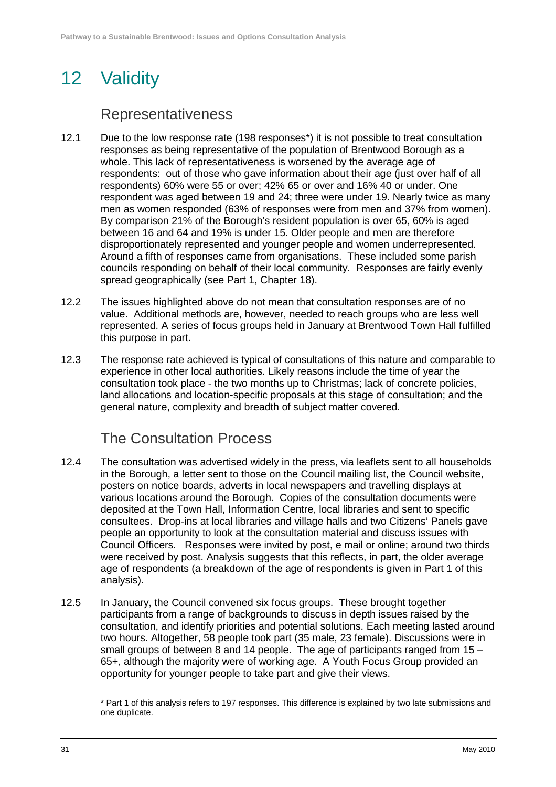# 12 Validity

### Representativeness

- 12.1 Due to the low response rate (198 responses\*) it is not possible to treat consultation responses as being representative of the population of Brentwood Borough as a whole. This lack of representativeness is worsened by the average age of respondents: out of those who gave information about their age (just over half of all respondents) 60% were 55 or over; 42% 65 or over and 16% 40 or under. One respondent was aged between 19 and 24; three were under 19. Nearly twice as many men as women responded (63% of responses were from men and 37% from women). By comparison 21% of the Borough's resident population is over 65, 60% is aged between 16 and 64 and 19% is under 15. Older people and men are therefore disproportionately represented and younger people and women underrepresented. Around a fifth of responses came from organisations. These included some parish councils responding on behalf of their local community. Responses are fairly evenly spread geographically (see Part 1, Chapter 18).
- 12.2 The issues highlighted above do not mean that consultation responses are of no value. Additional methods are, however, needed to reach groups who are less well represented. A series of focus groups held in January at Brentwood Town Hall fulfilled this purpose in part.
- 12.3 The response rate achieved is typical of consultations of this nature and comparable to experience in other local authorities. Likely reasons include the time of year the consultation took place - the two months up to Christmas; lack of concrete policies, land allocations and location-specific proposals at this stage of consultation; and the general nature, complexity and breadth of subject matter covered.

## The Consultation Process

- 12.4 The consultation was advertised widely in the press, via leaflets sent to all households in the Borough, a letter sent to those on the Council mailing list, the Council website, posters on notice boards, adverts in local newspapers and travelling displays at various locations around the Borough. Copies of the consultation documents were deposited at the Town Hall, Information Centre, local libraries and sent to specific consultees. Drop-ins at local libraries and village halls and two Citizens' Panels gave people an opportunity to look at the consultation material and discuss issues with Council Officers. Responses were invited by post, e mail or online; around two thirds were received by post. Analysis suggests that this reflects, in part, the older average age of respondents (a breakdown of the age of respondents is given in Part 1 of this analysis).
- 12.5 In January, the Council convened six focus groups. These brought together participants from a range of backgrounds to discuss in depth issues raised by the consultation, and identify priorities and potential solutions. Each meeting lasted around two hours. Altogether, 58 people took part (35 male, 23 female). Discussions were in small groups of between 8 and 14 people. The age of participants ranged from 15 – 65+, although the majority were of working age. A Youth Focus Group provided an opportunity for younger people to take part and give their views.

<sup>\*</sup> Part 1 of this analysis refers to 197 responses. This difference is explained by two late submissions and one duplicate.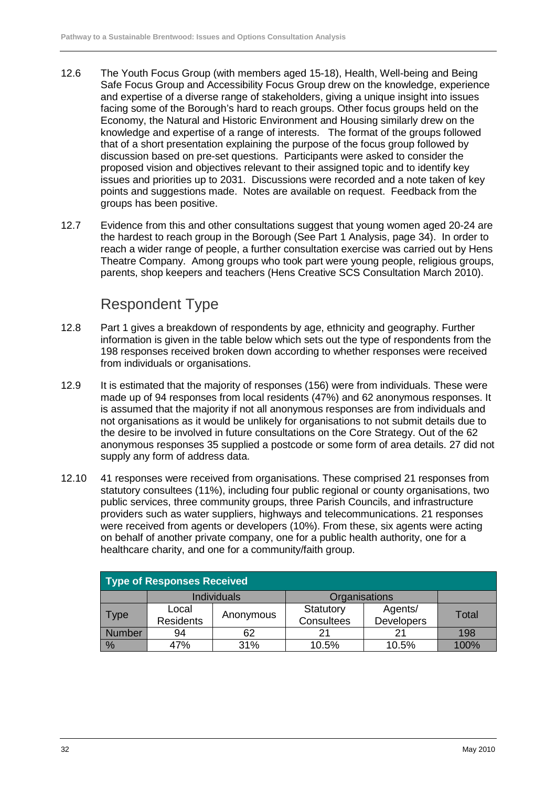- 12.6 The Youth Focus Group (with members aged 15-18), Health, Well-being and Being Safe Focus Group and Accessibility Focus Group drew on the knowledge, experience and expertise of a diverse range of stakeholders, giving a unique insight into issues facing some of the Borough's hard to reach groups. Other focus groups held on the Economy, the Natural and Historic Environment and Housing similarly drew on the knowledge and expertise of a range of interests. The format of the groups followed that of a short presentation explaining the purpose of the focus group followed by discussion based on pre-set questions. Participants were asked to consider the proposed vision and objectives relevant to their assigned topic and to identify key issues and priorities up to 2031. Discussions were recorded and a note taken of key points and suggestions made. Notes are available on request. Feedback from the groups has been positive.
- 12.7 Evidence from this and other consultations suggest that young women aged 20-24 are the hardest to reach group in the Borough (See Part 1 Analysis, page 34). In order to reach a wider range of people, a further consultation exercise was carried out by Hens Theatre Company. Among groups who took part were young people, religious groups, parents, shop keepers and teachers (Hens Creative SCS Consultation March 2010).

## Respondent Type

- 12.8 Part 1 gives a breakdown of respondents by age, ethnicity and geography. Further information is given in the table below which sets out the type of respondents from the 198 responses received broken down according to whether responses were received from individuals or organisations.
- 12.9 It is estimated that the majority of responses (156) were from individuals. These were made up of 94 responses from local residents (47%) and 62 anonymous responses. It is assumed that the majority if not all anonymous responses are from individuals and not organisations as it would be unlikely for organisations to not submit details due to the desire to be involved in future consultations on the Core Strategy. Out of the 62 anonymous responses 35 supplied a postcode or some form of area details. 27 did not supply any form of address data.
- 12.10 41 responses were received from organisations. These comprised 21 responses from statutory consultees (11%), including four public regional or county organisations, two public services, three community groups, three Parish Councils, and infrastructure providers such as water suppliers, highways and telecommunications. 21 responses were received from agents or developers (10%). From these, six agents were acting on behalf of another private company, one for a public health authority, one for a healthcare charity, and one for a community/faith group.

| <b>Type of Responses Received</b> |                           |                    |                         |                              |       |  |  |  |  |  |
|-----------------------------------|---------------------------|--------------------|-------------------------|------------------------------|-------|--|--|--|--|--|
|                                   |                           | <b>Individuals</b> | Organisations           |                              |       |  |  |  |  |  |
| Type                              | Local<br><b>Residents</b> | Anonymous          | Statutory<br>Consultees | Agents/<br><b>Developers</b> | Total |  |  |  |  |  |
| <b>Number</b>                     | 94                        | 62                 | 21                      | 21                           | 198   |  |  |  |  |  |
| %                                 | 47%                       | 31%                | 10.5%                   | 10.5%                        | 100%  |  |  |  |  |  |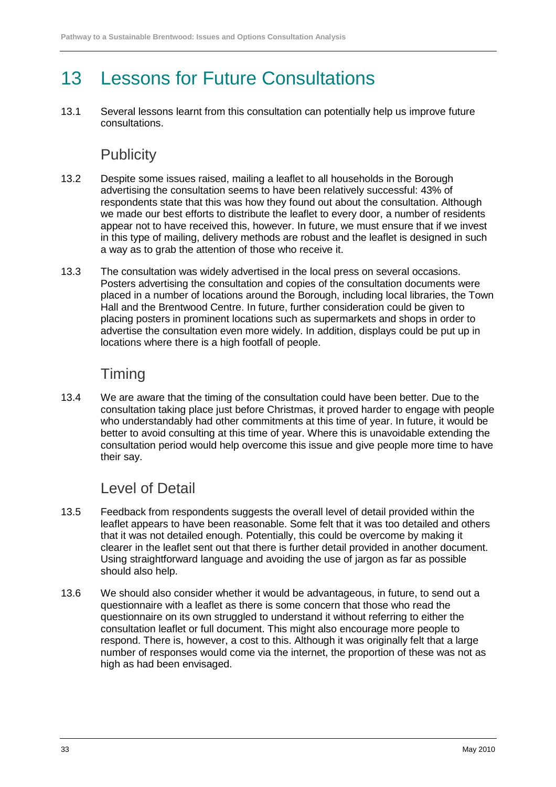# 13 Lessons for Future Consultations

13.1 Several lessons learnt from this consultation can potentially help us improve future consultations.

## **Publicity**

- 13.2 Despite some issues raised, mailing a leaflet to all households in the Borough advertising the consultation seems to have been relatively successful: 43% of respondents state that this was how they found out about the consultation. Although we made our best efforts to distribute the leaflet to every door, a number of residents appear not to have received this, however. In future, we must ensure that if we invest in this type of mailing, delivery methods are robust and the leaflet is designed in such a way as to grab the attention of those who receive it.
- 13.3 The consultation was widely advertised in the local press on several occasions. Posters advertising the consultation and copies of the consultation documents were placed in a number of locations around the Borough, including local libraries, the Town Hall and the Brentwood Centre. In future, further consideration could be given to placing posters in prominent locations such as supermarkets and shops in order to advertise the consultation even more widely. In addition, displays could be put up in locations where there is a high footfall of people.

## **Timing**

13.4 We are aware that the timing of the consultation could have been better. Due to the consultation taking place just before Christmas, it proved harder to engage with people who understandably had other commitments at this time of year. In future, it would be better to avoid consulting at this time of year. Where this is unavoidable extending the consultation period would help overcome this issue and give people more time to have their say.

## Level of Detail

- 13.5 Feedback from respondents suggests the overall level of detail provided within the leaflet appears to have been reasonable. Some felt that it was too detailed and others that it was not detailed enough. Potentially, this could be overcome by making it clearer in the leaflet sent out that there is further detail provided in another document. Using straightforward language and avoiding the use of jargon as far as possible should also help.
- 13.6 We should also consider whether it would be advantageous, in future, to send out a questionnaire with a leaflet as there is some concern that those who read the questionnaire on its own struggled to understand it without referring to either the consultation leaflet or full document. This might also encourage more people to respond. There is, however, a cost to this. Although it was originally felt that a large number of responses would come via the internet, the proportion of these was not as high as had been envisaged.